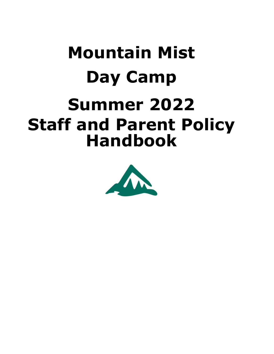# **Mountain Mist Day Camp Summer 2022 Staff and Parent Policy Handbook**

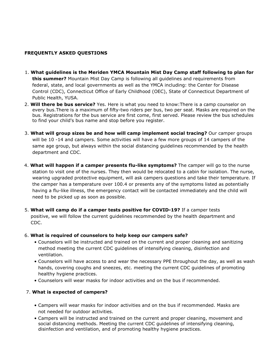## **FREQUENTLY ASKED QUESTIONS**

- 1. **What guidelines is the Meriden YMCA Mountain Mist Day Camp staff following to plan for this summer?** Mountain Mist Day Camp is following all guidelines and requirements from federal, state, and local governments as well as the YMCA including: the Center for Disease Control (CDC), Connecticut Office of Early Childhood (OEC), State of Connecticut Department of Public Health, YUSA.
- 2. **Will there be bus service?** Yes. Here is what you need to know:There is a camp counselor on every bus.There is a maximum of fifty-two riders per bus, two per seat. Masks are required on the bus. Registrations for the bus service are first come, first served. Please review the bus schedules to find your child's bus name and stop before you register.
- 3. **What will group sizes be and how will camp implement social tracing?** Our camper groups will be 10 -14 and campers. Some activities will have a few more groups of 14 campers of the same age group, but always within the social distancing guidelines recommended by the health department and CDC.
- 4. **What will happen if a camper presents flu-like symptoms?** The camper will go to the nurse station to visit one of the nurses. They then would be relocated to a cabin for isolation. The nurse, wearing upgraded protective equipment, will ask campers questions and take their temperature. If the camper has a temperature over 100.4 or presents any of the symptoms listed as potentially having a flu-like illness, the emergency contact will be contacted immediately and the child will need to be picked up as soon as possible.
- 5. **What will camp do if a camper tests positive for COVID-19?** If a camper tests positive, we will follow the current guidelines recommended by the health department and CDC.

## 6. **What is required of counselors to help keep our campers safe?**

- Counselors will be instructed and trained on the current and proper cleaning and sanitizing method meeting the current CDC guidelines of intensifying cleaning, disinfection and ventilation.
- Counselors will have access to and wear the necessary PPE throughout the day, as well as wash hands, covering coughs and sneezes, etc. meeting the current CDC guidelines of promoting healthy hygiene practices.
- Counselors will wear masks for indoor activities and on the bus if recommended.

## 7. **What is expected of campers?**

- Campers will wear masks for indoor activities and on the bus if recommended. Masks are not needed for outdoor activities.
- Campers will be instructed and trained on the current and proper cleaning, movement and social distancing methods. Meeting the current CDC guidelines of intensifying cleaning, disinfection and ventilation, and of promoting healthy hygiene practices.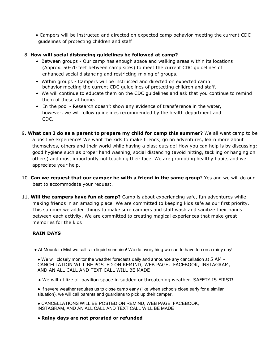• Campers will be instructed and directed on expected camp behavior meeting the current CDC guidelines of protecting children and staff

#### 8. **How will social distancing guidelines be followed at camp?**

- Between groups Our camp has enough space and walking areas within its locations (Approx. 50-70 feet between camp sites) to meet the current CDC guidelines of enhanced social distancing and restricting mixing of groups.
- Within groups Campers will be instructed and directed on expected camp behavior meeting the current CDC guidelines of protecting children and staff.
- We will continue to educate them on the CDC guidelines and ask that you continue to remind them of these at home.
- In the pool Research doesn't show any evidence of transference in the water, however, we will follow guidelines recommended by the health department and CDC.
- 9. **What can I do as a parent to prepare my child for camp this summer?** We all want camp to be a positive experience! We want the kids to make friends, go on adventures, learn more about themselves, others and their world while having a blast outside! How you can help is by discussing: good hygiene such as proper hand washing, social distancing (avoid hitting, tackling or hanging on others) and most importantly not touching their face. We are promoting healthy habits and we appreciate your help.
- 10. **Can we request that our camper be with a friend in the same group**? Yes and we will do our best to accommodate your request.
- 11. **Will the campers have fun at camp?** Camp is about experiencing safe, fun adventures while making friends in an amazing place! We are committed to keeping kids safe as our first priority. This summer we added things to make sure campers and staff wash and sanitize their hands between each activity. We are committed to creating magical experiences that make great memories for the kids

## **RAIN DAYS**

• At Mountain Mist we call rain liquid sunshine! We do everything we can to have fun on a rainy day!

● We will closely monitor the weather forecasts daily and announce any cancellation at 5 AM - CANCELLATION WILL BE POSTED ON REMIND, WEB PAGE, FACEBOOK, INSTAGRAM, AND AN ALL CALL AND TEXT CALL WILL BE MADE

● We will utilize all pavilion space in sudden or threatening weather. SAFETY IS FIRST!

● If severe weather requires us to close camp early (like when schools close early for a similar situation), we will call parents and guardians to pick up their camper.

● CANCELLATIONS WILL BE POSTED ON REMIND, WEB PAGE, FACEBOOK, INSTAGRAM, AND AN ALL CALL AND TEXT CALL WILL BE MADE

● **Rainy days are not prorated or refunded**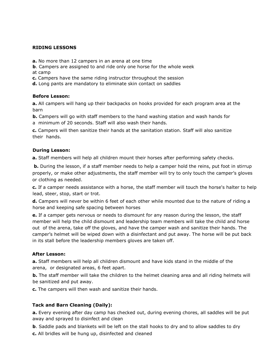#### **RIDING LESSONS**

- **a.** No more than 12 campers in an arena at one time
- **b**. Campers are assigned to and ride only one horse for the whole week at camp
- **c.** Campers have the same riding instructor throughout the session
- **d.** Long pants are mandatory to eliminate skin contact on saddles

#### **Before Lesson:**

**a.** All campers will hang up their backpacks on hooks provided for each program area at the barn

**b.** Campers will go with staff members to the hand washing station and wash hands for

a minimum of 20 seconds. Staff will also wash their hands.

**c.** Campers will then sanitize their hands at the sanitation station. Staff will also sanitize their hands.

## **During Lesson:**

**a.** Staff members will help all children mount their horses after performing safety checks.

**b.** During the lesson, if a staff member needs to help a camper hold the reins, put foot in stirrup properly, or make other adjustments, the staff member will try to only touch the camper's gloves or clothing as needed.

**c.** If a camper needs assistance with a horse, the staff member will touch the horse's halter to help lead, steer, stop, start or trot.

**d.** Campers will never be within 6 feet of each other while mounted due to the nature of riding a horse and keeping safe spacing between horses

**e.** If a camper gets nervous or needs to dismount for any reason during the lesson, the staff member will help the child dismount and leadership team members will take the child and horse out of the arena, take off the gloves, and have the camper wash and sanitize their hands. The camper's helmet will be wiped down with a disinfectant and put away. The horse will be put back in its stall before the leadership members gloves are taken off.

## **After Lesson:**

**a.** Staff members will help all children dismount and have kids stand in the middle of the arena, or designated areas, 6 feet apart.

**b.** The staff member will take the children to the helmet cleaning area and all riding helmets will be sanitized and put away.

**c.** The campers will then wash and sanitize their hands.

## **Tack and Barn Cleaning (Daily):**

**a.** Every evening after day camp has checked out, during evening chores, all saddles will be put away and sprayed to disinfect and clean

**b**. Saddle pads and blankets will be left on the stall hooks to dry and to allow saddles to dry

**c.** All bridles will be hung up, disinfected and cleaned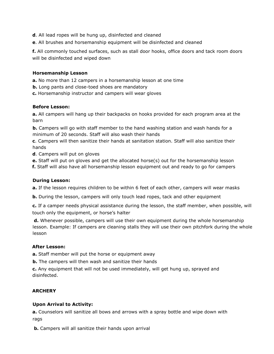- **d**. All lead ropes will be hung up, disinfected and cleaned
- **e**. All brushes and horsemanship equipment will be disinfected and cleaned

**f.** All commonly touched surfaces, such as stall door hooks, office doors and tack room doors will be disinfected and wiped down

#### **Horsemanship Lesson**

**a.** No more than 12 campers in a horsemanship lesson at one time

**b.** Long pants and close-toed shoes are mandatory

**c.** Horsemanship instructor and campers will wear gloves

#### **Before Lesson:**

**a.** All campers will hang up their backpacks on hooks provided for each program area at the barn

**b.** Campers will go with staff member to the hand washing station and wash hands for a minimum of 20 seconds. Staff will also wash their hands

**c**. Campers will then sanitize their hands at sanitation station. Staff will also sanitize their hands

**d**. Campers will put on gloves

**e.** Staff will put on gloves and get the allocated horse(s) out for the horsemanship lesson

**f.** Staff will also have all horsemanship lesson equipment out and ready to go for campers

#### **During Lesson:**

**a.** If the lesson requires children to be within 6 feet of each other, campers will wear masks

**b.** During the lesson, campers will only touch lead ropes, tack and other equipment

**c.** If a camper needs physical assistance during the lesson, the staff member, when possible, will touch only the equipment, or horse's halter

**d.** Whenever possible, campers will use their own equipment during the whole horsemanship lesson. Example: If campers are cleaning stalls they will use their own pitchfork during the whole lesson

#### **After Lesson:**

**a.** Staff member will put the horse or equipment away

**b.** The campers will then wash and sanitize their hands

**c.** Any equipment that will not be used immediately, will get hung up, sprayed and disinfected.

#### **ARCHERY**

#### **Upon Arrival to Activity:**

**a.** Counselors will sanitize all bows and arrows with a spray bottle and wipe down with rags

**b.** Campers will all sanitize their hands upon arrival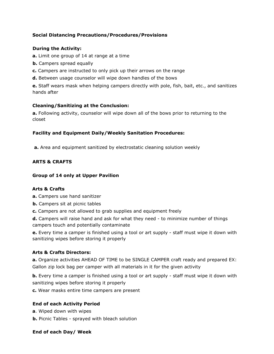## **Social Distancing Precautions/Procedures/Provisions**

## **During the Activity:**

- **a.** Limit one group of 14 at range at a time
- **b.** Campers spread equally
- **c.** Campers are instructed to only pick up their arrows on the range
- **d.** Between usage counselor will wipe down handles of the bows

**e.** Staff wears mask when helping campers directly with pole, fish, bait, etc., and sanitizes hands after

#### **Cleaning/Sanitizing at the Conclusion:**

**a.** Following activity, counselor will wipe down all of the bows prior to returning to the closet

## **Facility and Equipment Daily/Weekly Sanitation Procedures:**

**a.** Area and equipment sanitized by electrostatic cleaning solution weekly

## **ARTS & CRAFTS**

#### **Group of 14 only at Upper Pavilion**

#### **Arts & Crafts**

**a.** Campers use hand sanitizer

- **b.** Campers sit at picnic tables
- **c.** Campers are not allowed to grab supplies and equipment freely

**d.** Campers will raise hand and ask for what they need - to minimize number of things campers touch and potentially contaminate

**e.** Every time a camper is finished using a tool or art supply - staff must wipe it down with sanitizing wipes before storing it properly

## **Arts & Crafts Directors:**

**a.** Organize activities AHEAD OF TIME to be SINGLE CAMPER craft ready and prepared EX: Gallon zip lock bag per camper with all materials in it for the given activity

**b.** Every time a camper is finished using a tool or art supply - staff must wipe it down with sanitizing wipes before storing it properly

**c.** Wear masks entire time campers are present

## **End of each Activity Period**

- **a**. Wiped down with wipes
- **b.** Picnic Tables sprayed with bleach solution

#### **End of each Day/ Week**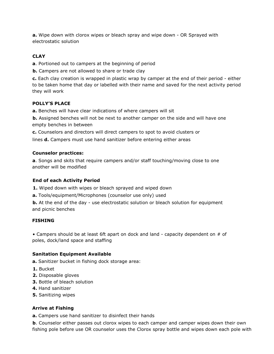**a.** Wipe down with clorox wipes or bleach spray and wipe down - OR Sprayed with electrostatic solution

# **CLAY**

**a**. Portioned out to campers at the beginning of period

**b.** Campers are not allowed to share or trade clay

**c.** Each clay creation is wrapped in plastic wrap by camper at the end of their period - either to be taken home that day or labelled with their name and saved for the next activity period they will work

# **POLLY'S PLACE**

**a.** Benches will have clear indications of where campers will sit

**b.** Assigned benches will not be next to another camper on the side and will have one empty benches in between

**c.** Counselors and directors will direct campers to spot to avoid clusters or

lines **d.** Campers must use hand sanitizer before entering either areas

## **Counselor practices:**

**a**. Songs and skits that require campers and/or staff touching/moving close to one another will be modified

# **End of each Activity Period**

**1.** Wiped down with wipes or bleach sprayed and wiped down

**a.** Tools/equipment/Microphones (counselor use only) used

**b.** At the end of the day - use electrostatic solution or bleach solution for equipment and picnic benches

## **FISHING**

• Campers should be at least 6ft apart on dock and land - capacity dependent on  $#$  of poles, dock/land space and staffing

# **Sanitation Equipment Available**

**a.** Sanitizer bucket in fishing dock storage area:

- **1.** Bucket
- **2.** Disposable gloves
- **3.** Bottle of bleach solution
- **4.** Hand sanitizer
- **5.** Sanitizing wipes

# **Arrive at Fishing**

**a.** Campers use hand sanitizer to disinfect their hands

**b**. Counselor either passes out clorox wipes to each camper and camper wipes down their own fishing pole before use OR counselor uses the Clorox spray bottle and wipes down each pole with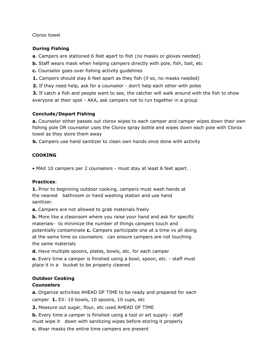Clorox towel

## **During Fishing**

**a**. Campers are stationed 6 feet apart to fish (no masks or gloves needed)

**b.** Staff wears mask when helping campers directly with pole, fish, bait, etc

**c.** Counselor goes over fishing activity guidelines

**1.** Campers should stay 6 feet apart as they fish (if so, no masks needed)

**2.** If they need help, ask for a counselor - don't help each other with poles

**3.** If catch a fish and people want to see, the catcher will walk around with the fish to show everyone at their spot - AKA, ask campers not to run together in a group

## **Conclude/Depart Fishing**

**a.** Counselor either passes out clorox wipes to each camper and camper wipes down their own fishing pole OR counselor uses the Clorox spray bottle and wipes down each pole with Clorox towel as they store them away

**b.** Campers use hand sanitizer to clean own hands once done with activity

# **COOKING**

• MAX 10 campers per 2 counselors - must stay at least 6 feet apart.

## **Practices**:

**1.** Prior to beginning outdoor cooking, campers must wash hands at the nearest bathroom or hand washing station and use hand sanitizer.

**a.** Campers are not allowed to grab materials freely

**b.** More like a classroom where you raise your hand and ask for specific materials- to minimize the number of things campers touch and potentially contaminate **c.** Campers participate one at a time vs all doing at the same time so counselors can ensure campers are not touching the same materials

**d.** Have multiple spoons, plates, bowls, etc. for each camper

**e.** Every time a camper is finished using a bowl, spoon, etc. - staff must place it in a bucket to be properly cleaned

# **Outdoor Cooking**

# **Counselors**

**a.** Organize activities AHEAD OF TIME to be ready and prepared for each camper **1.** EX: 10 bowls, 10 spoons, 10 cups, etc

**2.** Measure out sugar, flour, etc used AHEAD OF TIME

**b.** Every time a camper is finished using a tool or art supply - staff must wipe it down with sanitizing wipes before storing it properly

**c.** Wear masks the entire time campers are present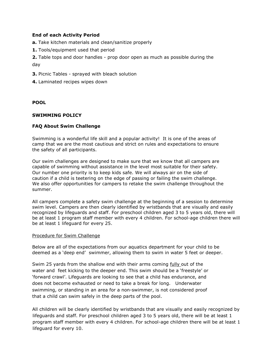#### **End of each Activity Period**

**a.** Take kitchen materials and clean/sanitize properly

**1.** Tools/equipment used that period

**2.** Table tops and door handles - prop door open as much as possible during the day

- **3.** Picnic Tables sprayed with bleach solution
- **4.** Laminated recipes wipes down

#### **POOL**

#### **SWIMMING POLICY**

#### **FAQ About Swim Challenge**

Swimming is a wonderful life skill and a popular activity! It is one of the areas of camp that we are the most cautious and strict on rules and expectations to ensure the safety of all participants.

Our swim challenges are designed to make sure that we know that all campers are capable of swimming without assistance in the level most suitable for their safety. Our number one priority is to keep kids safe. We will always air on the side of caution if a child is teetering on the edge of passing or failing the swim challenge. We also offer opportunities for campers to retake the swim challenge throughout the summer.

All campers complete a safety swim challenge at the beginning of a session to determine swim level. Campers are then clearly identified by wristbands that are visually and easily recognized by lifeguards and staff. For preschool children aged 3 to 5 years old, there will be at least 1 program staff member with every 4 children. For school-age children there will be at least 1 lifeguard for every 25.

#### Procedure for Swim Challenge

Below are all of the expectations from our aquatics department for your child to be deemed as a 'deep end' swimmer, allowing them to swim in water 5 feet or deeper.

Swim 25 yards from the shallow end with their arms coming fully out of the water and feet kicking to the deeper end. This swim should be a 'freestyle' or 'forward crawl'. Lifeguards are looking to see that a child has endurance, and does not become exhausted or need to take a break for long. Underwater swimming, or standing in an area for a non-swimmer, is not considered proof that a child can swim safely in the deep parts of the pool.

All children will be clearly identified by wristbands that are visually and easily recognized by lifeguards and staff. For preschool children aged 3 to 5 years old, there will be at least 1 program staff member with every 4 children. For school-age children there will be at least 1 lifeguard for every 10.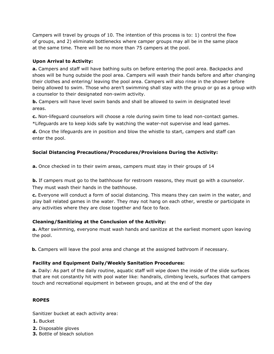Campers will travel by groups of 10. The intention of this process is to: 1) control the flow of groups, and 2) eliminate bottlenecks where camper groups may all be in the same place at the same time. There will be no more than 75 campers at the pool.

# **Upon Arrival to Activity:**

**a.** Campers and staff will have bathing suits on before entering the pool area. Backpacks and shoes will be hung outside the pool area. Campers will wash their hands before and after changing their clothes and entering/ leaving the pool area. Campers will also rinse in the shower before being allowed to swim. Those who aren't swimming shall stay with the group or go as a group with a counselor to their designated non-swim activity.

**b.** Campers will have level swim bands and shall be allowed to swim in designated level areas.

**c.** Non-lifeguard counselors will choose a role during swim time to lead non-contact games. \*Lifeguards are to keep kids safe by watching the water-not supervise and lead games.

**d.** Once the lifeguards are in position and blow the whistle to start, campers and staff can enter the pool.

# **Social Distancing Precautions/Procedures/Provisions During the Activity:**

**a.** Once checked in to their swim areas, campers must stay in their groups of 14

**b.** If campers must go to the bathhouse for restroom reasons, they must go with a counselor. They must wash their hands in the bathhouse.

**c.** Everyone will conduct a form of social distancing. This means they can swim in the water, and play ball related games in the water. They may not hang on each other, wrestle or participate in any activities where they are close together and face to face.

# **Cleaning/Sanitizing at the Conclusion of the Activity:**

**a.** After swimming, everyone must wash hands and sanitize at the earliest moment upon leaving the pool.

 **b.** Campers will leave the pool area and change at the assigned bathroom if necessary.

# **Facility and Equipment Daily/Weekly Sanitation Procedures:**

**a.** Daily: As part of the daily routine, aquatic staff will wipe down the inside of the slide surfaces that are not constantly hit with pool water like: handrails, climbing levels, surfaces that campers touch and recreational equipment in between groups, and at the end of the day

# **ROPES**

Sanitizer bucket at each activity area:

- **1.** Bucket
- **2.** Disposable gloves
- **3.** Bottle of bleach solution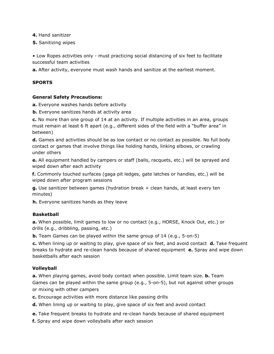**4.** Hand sanitizer

**5.** Sanitizing wipes

• Low Ropes activities only - must practicing social distancing of six feet to facilitate successful team activities

**a.** After activity, everyone must wash hands and sanitize at the earliest moment.

## **SPORTS**

#### **General Safety Precautions:**

**a.** Everyone washes hands before activity

**b.** Everyone sanitizes hands at activity area

**c.** No more than one group of 14 at an activity. If multiple activities in an area, groups must remain at least 6 ft apart (e.g., different sides of the field with a "buffer area" in between)

**d.** Games and activities should be as low contact or no contact as possible. No full body contact or games that involve things like holding hands, linking elbows, or crawling under others

**e.** All equipment handled by campers or staff (balls, racquets, etc.) will be sprayed and wiped down after each activity

**f.** Commonly touched surfaces (gaga pit ledges, gate latches or handles, etc.) will be wiped down after program sessions

**g.** Use sanitizer between games (hydration break + clean hands, at least every ten minutes)

**h.** Everyone sanitizes hands as they leave

#### **Basketball**

**a.** When possible, limit games to low or no contact (e.g., HORSE, Knock Out, etc.) or drills (e.g., dribbling, passing, etc.)

**b.** Team Games can be played within the same group of 14 (e.g., 5-on-5)

**c.** When lining up or waiting to play, give space of six feet, and avoid contact **d.** Take frequent breaks to hydrate and re-clean hands because of shared equipment **e.** Spray and wipe down basketballs after each session

## **Volleyball**

**a.** When playing games, avoid body contact when possible. Limit team size. **b.** Team Games can be played within the same group (e.g., 5-on-5), but not against other groups or mixing with other campers

**c.** Encourage activities with more distance like passing drills

**d.** When lining up or waiting to play, give space of six feet and avoid contact

**e.** Take frequent breaks to hydrate and re-clean hands because of shared equipment

**f.** Spray and wipe down volleyballs after each session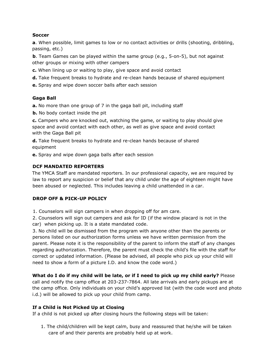#### **Soccer**

**a**. When possible, limit games to low or no contact activities or drills (shooting, dribbling, passing, etc.)

**b**. Team Games can be played within the same group (e.g., 5-on-5), but not against other groups or mixing with other campers

**c.** When lining up or waiting to play, give space and avoid contact

- **d.** Take frequent breaks to hydrate and re-clean hands because of shared equipment
- **e.** Spray and wipe down soccer balls after each session

## **Gaga Ball**

**a.** No more than one group of 7 in the gaga ball pit, including staff

**b.** No body contact inside the pit

**c.** Campers who are knocked out, watching the game, or waiting to play should give space and avoid contact with each other, as well as give space and avoid contact with the Gaga Ball pit

**d.** Take frequent breaks to hydrate and re-clean hands because of shared equipment

**e.** Spray and wipe down gaga balls after each session

## **DCF MANDATED REPORTERS**

The YMCA Staff are mandated reporters. In our professional capacity, we are required by law to report any suspicion or belief that any child under the age of eighteen might have been abused or neglected. This includes leaving a child unattended in a car.

# **DROP OFF & PICK-UP POLICY**

1. Counselors will sign campers in when dropping off for am care.

2. Counselors will sign out campers and ask for ID (if the window placard is not in the car) when picking up. It is a state mandated code.

3. No child will be dismissed from the program with anyone other than the parents or persons listed on our authorization forms unless we have written permission from the parent. Please note it is the responsibility of the parent to inform the staff of any changes regarding authorization. Therefore, the parent must check the child's file with the staff for correct or updated information. (Please be advised, all people who pick up your child will need to show a form of a picture I.D. and know the code word.)

**What do I do if my child will be late, or if I need to pick up my child early?** Please call and notify the camp office at 203-237-7864. All late arrivals and early pickups are at the camp office. Only individuals on your child's approved list (with the code word and photo i.d.) will be allowed to pick up your child from camp.

# **If a Child is Not Picked Up at Closing**

If a child is not picked up after closing hours the following steps will be taken:

1. The child/children will be kept calm, busy and reassured that he/she will be taken care of and their parents are probably held up at work.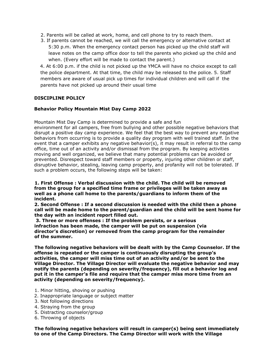- 2. Parents will be called at work, home, and cell phone to try to reach them.
- 3. If parents cannot be reached, we will call the emergency or alternative contact at 5:30 p.m. When the emergency contact person has picked up the child staff will leave notes on the camp office door to tell the parents who picked up the child and when. (Every effort will be made to contact the parent.)

4. At 6:00 p.m. if the child is not picked up the YMCA will have no choice except to call the police department. At that time, the child may be released to the police. 5. Staff members are aware of usual pick up times for individual children and will call if the parents have not picked up around their usual time

#### **DISCIPLINE POLICY**

#### **Behavior Policy Mountain Mist Day Camp 2022**

Mountain Mist Day Camp is determined to provide a safe and fun

environment for all campers, free from bullying and other possible negative behaviors that disrupt a positive day camp experience. We feel that the best way to prevent any negative behaviors from occurring is to provide a quality day program with well trained staff. In the event that a camper exhibits any negative behavior(s), it may result in referral to the camp office, time out of an activity and/or dismissal from the program. By keeping activities moving and well organized, we believe that many potential problems can be avoided or prevented. Disrespect toward staff members or property, injuring other children or staff, disruptive behavior, stealing, leaving camp property, and profanity will not be tolerated. If such a problem occurs, the following steps will be taken:

**1. First Offense : Verbal discussion with the child. The child will be removed from the group for a specified time frame or privileges will be taken away as well as a phone call home to the parents/guardians to inform them of the incident.** 

**2. Second Offense : If a second discussion is needed with the child then a phone call will be made home to the parent/guardian and the child will be sent home for the day with an incident report filled out.** 

**3. Three or more offenses : If the problem persists, or a serious infraction has been made, the camper will be put on suspension (via director's discretion) or removed from the camp program for the remainder of the summer.** 

**The following negative behaviors will be dealt with by the Camp Counselor. If the offense is repeated or the camper is continuously disrupting the group's activities, the camper will miss time out of an activity and/or be sent to the Village Director. The Village Director will evaluate the negative behavior and may notify the parents (depending on severity/frequency), fill out a behavior log and put it in the camper's file and require that the camper miss more time from an activity (depending on severity/frequency).** 

- 1. Minor hitting, shoving or pushing
- 2. Inappropriate language or subject matter
- 3. Not following directions
- 4. Straying from the group
- 5. Distracting counselor/group
- 6. Throwing of objects

**The following negative behaviors will result in camper(s) being sent immediately to one of the Camp Directors. The Camp Director will work with the Village**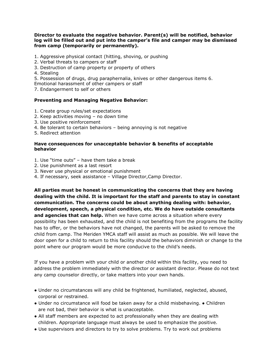#### **Director to evaluate the negative behavior. Parent(s) will be notified, behavior log will be filled out and put into the camper's file and camper may be dismissed from camp (temporarily or permanently).**

- 1. Aggressive physical contact (hitting, shoving, or pushing
- 2. Verbal threats to campers or staff
- 3. Destruction of camp property or property of others
- 4. Stealing
- 5. Possession of drugs, drug paraphernalia, knives or other dangerous items 6.
- Emotional harassment of other campers or staff
- 7. Endangerment to self or others

#### **Preventing and Managing Negative Behavior:**

- 1. Create group rules/set expectations
- 2. Keep activities moving no down time
- 3. Use positive reinforcement
- 4. Be tolerant to certain behaviors being annoying is not negative
- 5. Redirect attention

#### **Have consequences for unacceptable behavior & benefits of acceptable behavior**

- 1. Use "time outs" have them take a break
- 2. Use punishment as a last resort
- 3. Never use physical or emotional punishment
- 4. If necessary, seek assistance Village Director,Camp Director.

**All parties must be honest in communicating the concerns that they are having dealing with the child. It is important for the staff and parents to stay in constant communication. The concerns could be about anything dealing with: behavior, development, speech, a physical condition, etc. We do have outside consultants and agencies that can help.** When we have come across a situation where every possibility has been exhausted, and the child is not benefiting from the programs the facility has to offer, or the behaviors have not changed, the parents will be asked to remove the child from camp. The Meriden YMCA staff will assist as much as possible. We will leave the door open for a child to return to this facility should the behaviors diminish or change to the point where our program would be more conducive to the child's needs.

If you have a problem with your child or another child within this facility, you need to address the problem immediately with the director or assistant director. Please do not text any camp counselor directly, or take matters into your own hands.

- Under no circumstances will any child be frightened, humiliated, neglected, abused, corporal or restrained.
- Under no circumstance will food be taken away for a child misbehaving. Children are not bad, their behavior is what is unacceptable.
- All staff members are expected to act professionally when they are dealing with children. Appropriate language must always be used to emphasize the positive.
- Use supervisors and directors to try to solve problems. Try to work out problems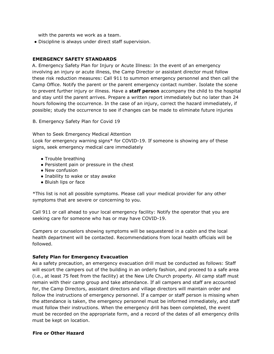with the parents we work as a team.

● Discipline is always under direct staff supervision.

#### **EMERGENCY SAFETY STANDARDS**

A. Emergency Safety Plan for Injury or Acute Illness: In the event of an emergency involving an injury or acute illness, the Camp Director or assistant director must follow these risk reduction measures: Call 911 to summon emergency personnel and then call the Camp Office. Notify the parent or the parent emergency contact number. Isolate the scene to prevent further injury or illness. Have a **staff person** accompany the child to the hospital and stay until the parent arrives. Prepare a written report immediately but no later than 24 hours following the occurrence. In the case of an injury, correct the hazard immediately, if possible; study the occurrence to see if changes can be made to eliminate future injuries

B. Emergency Safety Plan for Covid 19

When to Seek Emergency Medical Attention Look for emergency warning signs\* for COVID-19. If someone is showing any of these signs, seek emergency medical care immediately

- Trouble breathing
- Persistent pain or pressure in the chest
- New confusion
- Inability to wake or stay awake
- Bluish lips or face

\*This list is not all possible symptoms. Please call your medical provider for any other symptoms that are severe or concerning to you.

Call 911 or call ahead to your local emergency facility: Notify the operator that you are seeking care for someone who has or may have COVID-19.

Campers or counselors showing symptoms will be sequestered in a cabin and the local health department will be contacted. Recommendations from local health officials will be followed.

## **Safety Plan for Emergency Evacuation**

As a safety precaution, an emergency evacuation drill must be conducted as follows: Staff will escort the campers out of the building in an orderly fashion, and proceed to a safe area (i.e., at least 75 feet from the facility) at the New Life Church property. All camp staff must remain with their camp group and take attendance. If all campers and staff are accounted for, the Camp Directors, assistant directors and village directors will maintain order and follow the instructions of emergency personnel. If a camper or staff person is missing when the attendance is taken, the emergency personnel must be informed immediately, and staff must follow their instructions. When the emergency drill has been completed, the event must be recorded on the appropriate form, and a record of the dates of all emergency drills must be kept on location.

#### **Fire or Other Hazard**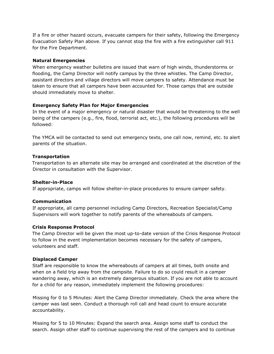If a fire or other hazard occurs, evacuate campers for their safety, following the Emergency Evacuation Safety Plan above. If you cannot stop the fire with a fire extinguisher call 911 for the Fire Department.

#### **Natural Emergencies**

When emergency weather bulletins are issued that warn of high winds, thunderstorms or flooding, the Camp Director will notify campus by the three whistles. The Camp Director, assistant directors and village directors will move campers to safety. Attendance must be taken to ensure that all campers have been accounted for. Those camps that are outside should immediately move to shelter.

## **Emergency Safety Plan for Major Emergencies**

In the event of a major emergency or natural disaster that would be threatening to the well being of the campers (e.g., fire, flood, terrorist act, etc.), the following procedures will be followed:

The YMCA will be contacted to send out emergency texts, one call now, remind, etc. to alert parents of the situation.

#### **Transportation**

Transportation to an alternate site may be arranged and coordinated at the discretion of the Director in consultation with the Supervisor.

#### **Shelter-in-Place**

If appropriate, camps will follow shelter-in-place procedures to ensure camper safety.

## **Communication**

If appropriate, all camp personnel including Camp Directors, Recreation Specialist/Camp Supervisors will work together to notify parents of the whereabouts of campers.

## **Crisis Response Protocol**

The Camp Director will be given the most up-to-date version of the Crisis Response Protocol to follow in the event implementation becomes necessary for the safety of campers, volunteers and staff.

## **Displaced Camper**

Staff are responsible to know the whereabouts of campers at all times, both onsite and when on a field trip away from the campsite. Failure to do so could result in a camper wandering away, which is an extremely dangerous situation. If you are not able to account for a child for any reason, immediately implement the following procedures:

Missing for 0 to 5 Minutes: Alert the Camp Director immediately. Check the area where the camper was last seen. Conduct a thorough roll call and head count to ensure accurate accountability.

Missing for 5 to 10 Minutes: Expand the search area. Assign some staff to conduct the search. Assign other staff to continue supervising the rest of the campers and to continue